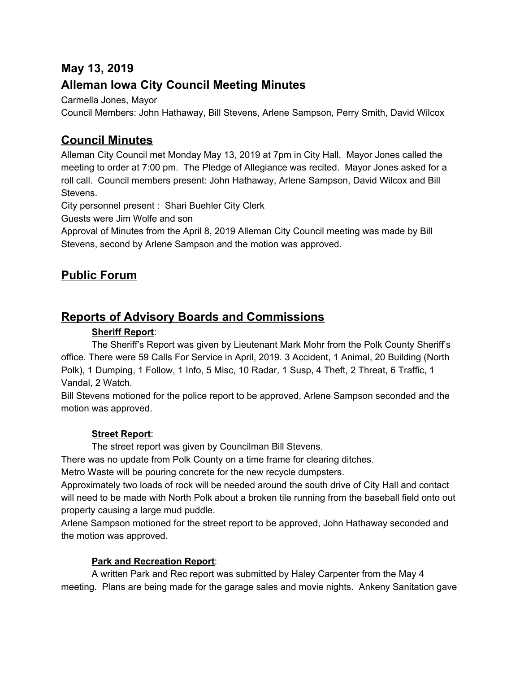# **May 13, 2019**

# **Alleman Iowa City Council Meeting Minutes**

Carmella Jones, Mayor

Council Members: John Hathaway, Bill Stevens, Arlene Sampson, Perry Smith, David Wilcox

# **Council Minutes**

Alleman City Council met Monday May 13, 2019 at 7pm in City Hall. Mayor Jones called the meeting to order at 7:00 pm. The Pledge of Allegiance was recited. Mayor Jones asked for a roll call. Council members present: John Hathaway, Arlene Sampson, David Wilcox and Bill Stevens.

City personnel present : Shari Buehler City Clerk

Guests were Jim Wolfe and son

Approval of Minutes from the April 8, 2019 Alleman City Council meeting was made by Bill Stevens, second by Arlene Sampson and the motion was approved.

# **Public Forum**

# **Reports of Advisory Boards and Commissions**

## **Sheriff Report**:

The Sheriff's Report was given by Lieutenant Mark Mohr from the Polk County Sheriff's office. There were 59 Calls For Service in April, 2019. 3 Accident, 1 Animal, 20 Building (North Polk), 1 Dumping, 1 Follow, 1 Info, 5 Misc, 10 Radar, 1 Susp, 4 Theft, 2 Threat, 6 Traffic, 1 Vandal, 2 Watch.

Bill Stevens motioned for the police report to be approved, Arlene Sampson seconded and the motion was approved.

## **Street Report**:

The street report was given by Councilman Bill Stevens.

There was no update from Polk County on a time frame for clearing ditches.

Metro Waste will be pouring concrete for the new recycle dumpsters.

Approximately two loads of rock will be needed around the south drive of City Hall and contact will need to be made with North Polk about a broken tile running from the baseball field onto out property causing a large mud puddle.

Arlene Sampson motioned for the street report to be approved, John Hathaway seconded and the motion was approved.

### **Park and Recreation Report**:

A written Park and Rec report was submitted by Haley Carpenter from the May 4 meeting. Plans are being made for the garage sales and movie nights. Ankeny Sanitation gave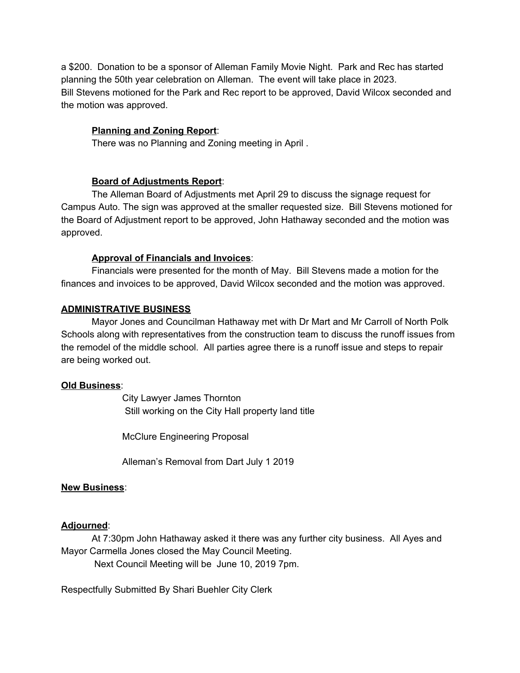a \$200. Donation to be a sponsor of Alleman Family Movie Night. Park and Rec has started planning the 50th year celebration on Alleman. The event will take place in 2023. Bill Stevens motioned for the Park and Rec report to be approved, David Wilcox seconded and the motion was approved.

### **Planning and Zoning Report**:

There was no Planning and Zoning meeting in April .

### **Board of Adjustments Report**:

The Alleman Board of Adjustments met April 29 to discuss the signage request for Campus Auto. The sign was approved at the smaller requested size. Bill Stevens motioned for the Board of Adjustment report to be approved, John Hathaway seconded and the motion was approved.

### **Approval of Financials and Invoices**:

Financials were presented for the month of May. Bill Stevens made a motion for the finances and invoices to be approved, David Wilcox seconded and the motion was approved.

### **ADMINISTRATIVE BUSINESS**

Mayor Jones and Councilman Hathaway met with Dr Mart and Mr Carroll of North Polk Schools along with representatives from the construction team to discuss the runoff issues from the remodel of the middle school. All parties agree there is a runoff issue and steps to repair are being worked out.

### **Old Business**:

City Lawyer James Thornton Still working on the City Hall property land title

McClure Engineering Proposal

Alleman's Removal from Dart July 1 2019

### **New Business**:

### **Adjourned**:

At 7:30pm John Hathaway asked it there was any further city business. All Ayes and Mayor Carmella Jones closed the May Council Meeting.

Next Council Meeting will be June 10, 2019 7pm.

Respectfully Submitted By Shari Buehler City Clerk